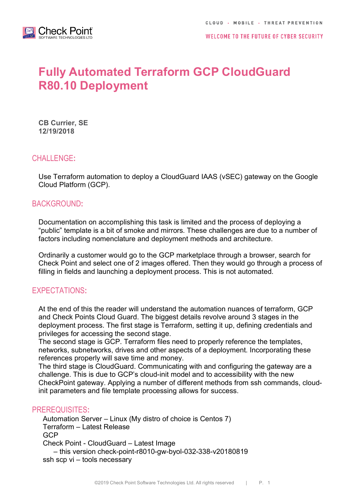

# **Fully Automated Terraform GCP CloudGuard R80.10 Deployment**

**CB Currier, SE 12/19/2018**

## CHALLENGE**:**

Use Terraform automation to deploy a CloudGuard IAAS (vSEC) gateway on the Google Cloud Platform (GCP).

## BACKGROUND**:**

Documentation on accomplishing this task is limited and the process of deploying a "public" template is a bit of smoke and mirrors. These challenges are due to a number of factors including nomenclature and deployment methods and architecture.

Ordinarily a customer would go to the GCP marketplace through a browser, search for Check Point and select one of 2 images offered. Then they would go through a process of filling in fields and launching a deployment process. This is not automated.

## EXPECTATIONS**:**

At the end of this the reader will understand the automation nuances of terraform, GCP and Check Points Cloud Guard. The biggest details revolve around 3 stages in the deployment process. The first stage is Terraform, setting it up, defining credentials and privileges for accessing the second stage.

The second stage is GCP. Terraform files need to properly reference the templates, networks, subnetworks, drives and other aspects of a deployment. Incorporating these references properly will save time and money.

The third stage is CloudGuard. Communicating with and configuring the gateway are a challenge. This is due to GCP's cloud-init model and to accessibility with the new CheckPoint gateway. Applying a number of different methods from ssh commands, cloudinit parameters and file template processing allows for success.

## PREREQUISITES**:**

Automation Server – Linux (My distro of choice is Centos 7) Terraform – Latest Release GCP Check Point - CloudGuard – Latest Image – this version check-point-r8010-gw-byol-032-338-v20180819 ssh scp vi – tools necessary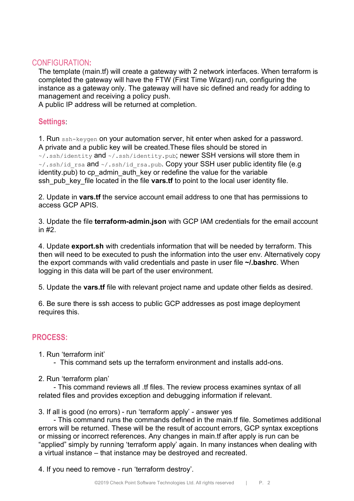## CONFIGURATION**:**

The template (main.tf) will create a gateway with 2 network interfaces. When terraform is completed the gateway will have the FTW (First Time Wizard) run, configuring the instance as a gateway only. The gateway will have sic defined and ready for adding to management and receiving a policy push.

A public IP address will be returned at completion.

## **Settings**:

1. Run ssh-keygen on your automation server, hit enter when asked for a password. A private and a public key will be created.These files should be stored in ~/.ssh/identity and ~/.ssh/identity.pub; newer SSH versions will store them in  $\sim$ /.ssh/id\_rsa and  $\sim$ /.ssh/id\_rsa.pub. Copy your SSH user public identity file (e.g. identity.pub) to cp\_admin\_auth\_key or redefine the value for the variable ssh\_pub\_key\_file located in the file **vars.tf** to point to the local user identity file.

2. Update in **vars.tf** the service account email address to one that has permissions to access GCP APIS.

3. Update the file **terraform-admin.json** with GCP IAM credentials for the email account in #2.

4. Update **export.sh** with credentials information that will be needed by terraform. This then will need to be executed to push the information into the user env. Alternatively copy the export commands with valid credentials and paste in user file **~/.bashrc**. When logging in this data will be part of the user environment.

5. Update the **vars.tf** file with relevant project name and update other fields as desired.

6. Be sure there is ssh access to public GCP addresses as post image deployment requires this.

# **PROCESS:**

1. Run 'terraform init'

- This command sets up the terraform environment and installs add-ons.
- 2. Run 'terraform plan'

- This command reviews all .tf files. The review process examines syntax of all related files and provides exception and debugging information if relevant.

3. If all is good (no errors) - run 'terraform apply' - answer yes

- This command runs the commands defined in the main.tf file. Sometimes additional errors will be returned. These will be the result of account errors, GCP syntax exceptions or missing or incorrect references. Any changes in main.tf after apply is run can be "applied" simply by running 'terraform apply' again. In many instances when dealing with a virtual instance – that instance may be destroyed and recreated.

4. If you need to remove - run 'terraform destroy'.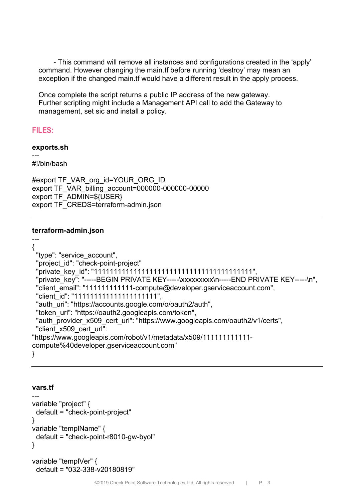- This command will remove all instances and configurations created in the 'apply' command. However changing the main.tf before running 'destroy' may mean an exception if the changed main.tf would have a different result in the apply process.

Once complete the script returns a public IP address of the new gateway. Further scripting might include a Management API call to add the Gateway to management, set sic and install a policy.

# **FILES:**

#### **exports.sh** ---

#!/bin/bash

```
#export TF_VAR_org_id=YOUR_ORG_ID
export TF_VAR_billing_account=000000-000000-00000
export TF_ADMIN=${USER}
export TF_CREDS=terraform-admin.json
```
## **terraform-admin.json**

--- { "type": "service\_account", "project\_id": "check-point-project" "private\_key\_id": "1111111111111111111111111111111111111111", "private\_key": "-----BEGIN PRIVATE KEY-----\xxxxxxxx\n-----END PRIVATE KEY-----\n", "client\_email": "111111111111-compute@developer.gserviceaccount.com", "client\_id": "11111111111111111111111", "auth\_uri": "https://accounts.google.com/o/oauth2/auth", "token\_uri": "https://oauth2.googleapis.com/token", "auth\_provider\_x509\_cert\_url": "https://www.googleapis.com/oauth2/v1/certs", "client\_x509\_cert\_url": "https://www.googleapis.com/robot/v1/metadata/x509/1111111111111compute%40developer.gserviceaccount.com"

}

## **vars.tf**

```
---
variable "project" {
  default = "check-point-project"
}
variable "templName" {
  default = "check-point-r8010-gw-byol"
}
```

```
variable "templVer" {
  default = "032-338-v20180819"
```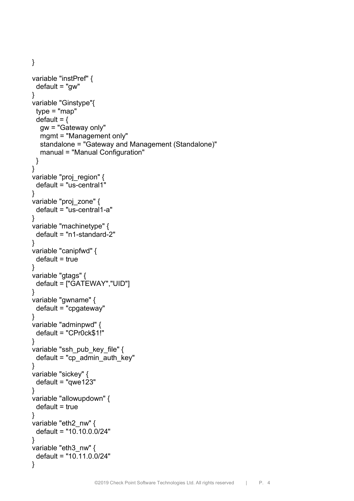```
variable "instPref" {
  default = "gw"
}
variable "Ginstype"{
  type = "map" 
 default = \{ gw = "Gateway only"
   mgmt = "Management only"
   standalone = "Gateway and Management (Standalone)"
   manual = "Manual Configuration"
  }
}
variable "proj_region" {
  default = "us-central1"
}
variable "proj_zone" {
  default = "us-central1-a"
}
variable "machinetype" {
  default = "n1-standard-2"
}
variable "canipfwd" {
 default = true}
variable "gtags" {
  default = ["GATEWAY","UID"]
}
variable "gwname" {
  default = "cpgateway"
}
variable "adminpwd" {
  default = "CPr0ck$1!"
}
variable "ssh_pub_key_file" {
 default = "cp_admin_auth_key"
}
variable "sickey" {
  default = "qwe123"
}
variable "allowupdown" {
 default = true}
variable "eth2_nw" {
  default = "10.10.0.0/24"
}
variable "eth3_nw" {
  default = "10.11.0.0/24"
}
```
}

©2019 Check Point Software Technologies Ltd. All rights reserved | P. 4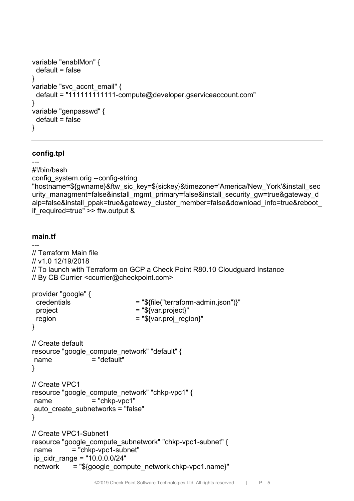```
variable "enablMon" {
  default = false
}
variable "svc_accnt_email" {
  default = "111111111111-compute@developer.gserviceaccount.com"
}
variable "genpasswd" {
  default = false
}
```
#### **config.tpl**

```
---
#!/bin/bash
config_system.orig --config-string 
"hostname=${gwname}&ftw_sic_key=${sickey}&timezone='America/New_York'&install_sec
urity_managment=false&install_mgmt_primary=false&install_security_gw=true&gateway_d
aip=false&install_ppak=true&gateway_cluster_member=false&download_info=true&reboot
if required=true" \ge ftw.output &
```
#### **main.tf**

```
---// Terraform Main file
// v1.0 12/19/2018
// To launch with Terraform on GCP a Check Point R80.10 Cloudguard Instance 
// By CB Currier <ccurrier@checkpoint.com>
```

```
provider "google" {
  credentials = "${file("terraform-admin.json")}"
 project = "$\{var.project\}"
region = "${var.proj_region}"
}
// Create default
resource "google_compute_network" "default" {
name = "default"}
// Create VPC1
resource "google_compute_network" "chkp-vpc1" {
name = "chko-voc1"auto create subnetworks = "false"
}
// Create VPC1-Subnet1
resource "google_compute_subnetwork" "chkp-vpc1-subnet" {
name = "chkp-vpc1-subnet"
ip_cidr_range = "10.0.0.0/24"
network = "${google_compute_network.chkp-vpc1.name}"
```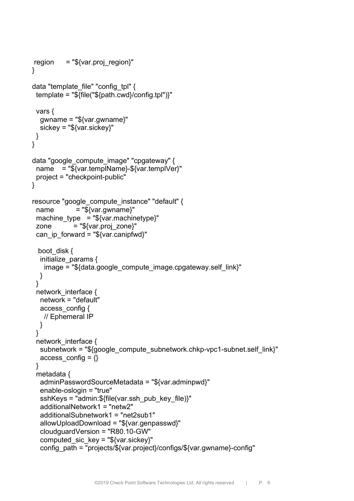```
region = "\sqrt{var.proj region}"}
data "template_file" "config_tpl" {
  template = "${file("${path.cwd}/config.tpl")}"
  vars {
   gwname = "${var.gwname}"
   sickey = "${var.sickey}"
  }
}
data "google_compute_image" "cpgateway" {
  name = "${var.templName}-${var.templVer}"
  project = "checkpoint-public"
}
resource "google_compute_instance" "default" {
 name = "$(var.gwname)" machine_type = "${var.machinetype}"
 zone = "$\{var.proj_Zone\}"can ip forward = "\gamma{var.canipfwd}"
 boot_disk {
  initialize params {
   image = "${data.google_compute_image.cpgateway.self_link}"
   }
  }
 network interface {
   network = "default"
   access_config {
    // Ephemeral IP
   }
  }
 network interface {
   subnetwork = "${google_compute_subnetwork.chkp-vpc1-subnet.self_link}"
  access config = \{\} }
  metadata {
   adminPasswordSourceMetadata = "${var.adminpwd}"
   enable-oslogin = "true"
   sshKeys = "admin:${file(var.ssh_pub_key_file)}"
   additionalNetwork1 = "netw2"
   additionalSubnetwork1 = "net2sub1"
   allowUploadDownload = "${var.genpasswd}"
   cloudguardVersion = "R80.10-GW"
  computed sic kev = "${var.sickev}" config_path = "projects/${var.project}/configs/${var.gwname}-config"
```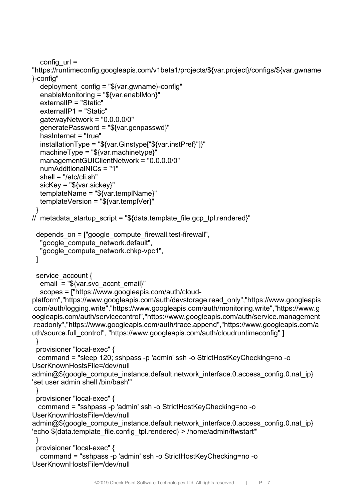config  $url =$ 

"https://runtimeconfig.googleapis.com/v1beta1/projects/\${var.project}/configs/\${var.gwname }-config"

```
deployment config = "\frac{\sqrt{q}}{\sqrt{q}} ar.gwname}-config"
   enableMonitoring = "${var.enablMon}"
   externalIP = "Static"
   externalIP1 = "Static"
   gatewayNetwork = "0.0.0.0/0"
   generatePassword = "${var.genpasswd}"
   hasInternet = "true"
   installationType = "${var.Ginstype["${var.instPref}"]}"
   machineType = "${var.machinetype}"
   managementGUIClientNetwork = "0.0.0.0/0"
   numAdditionalNICs = "1"
   shell = "/etc/cli.sh"
   sicKey = "${var.sickey}"
   templateName = "${var.templName}"
   templateVersion = "${var.templVer}"
 }
// metadata startup script = "${data.template file.gcp tpl.rendered}"
  depends_on = ["google_compute_firewall.test-firewall",
  "google_compute_network.default",
   "google_compute_network.chkp-vpc1",
  ]
 service_account {
  email = "${var.svc_accnt_email}"
   scopes = ["https://www.googleapis.com/auth/cloud-
platform","https://www.googleapis.com/auth/devstorage.read_only","https://www.googleapis
.com/auth/logging.write","https://www.googleapis.com/auth/monitoring.write","https://www.g
oogleapis.com/auth/servicecontrol","https://www.googleapis.com/auth/service.management
.readonly","https://www.googleapis.com/auth/trace.append","https://www.googleapis.com/a
uth/source.full_control", "https://www.googleapis.com/auth/cloudruntimeconfig" ]
  }
  provisioner "local-exec" {
  command = "sleep 120; sshpass -p 'admin' ssh -o StrictHostKeyChecking=no -o 
UserKnownHostsFile=/dev/null 
admin@${google_compute_instance.default.network_interface.0.access_config.0.nat_ip}
'set user admin shell /bin/bash'"
  }
  provisioner "local-exec" {
  command = "sshpass -p 'admin' ssh -o StrictHostKeyChecking=no -o 
UserKnownHostsFile=/dev/null 
admin@${google_compute_instance.default.network_interface.0.access_config.0.nat_ip}
'echo ${data.template_file.config_tpl.rendered} > /home/admin/ftwstart'"
  } 
  provisioner "local-exec" {
   command = "sshpass -p 'admin' ssh -o StrictHostKeyChecking=no -o 
UserKnownHostsFile=/dev/null
```